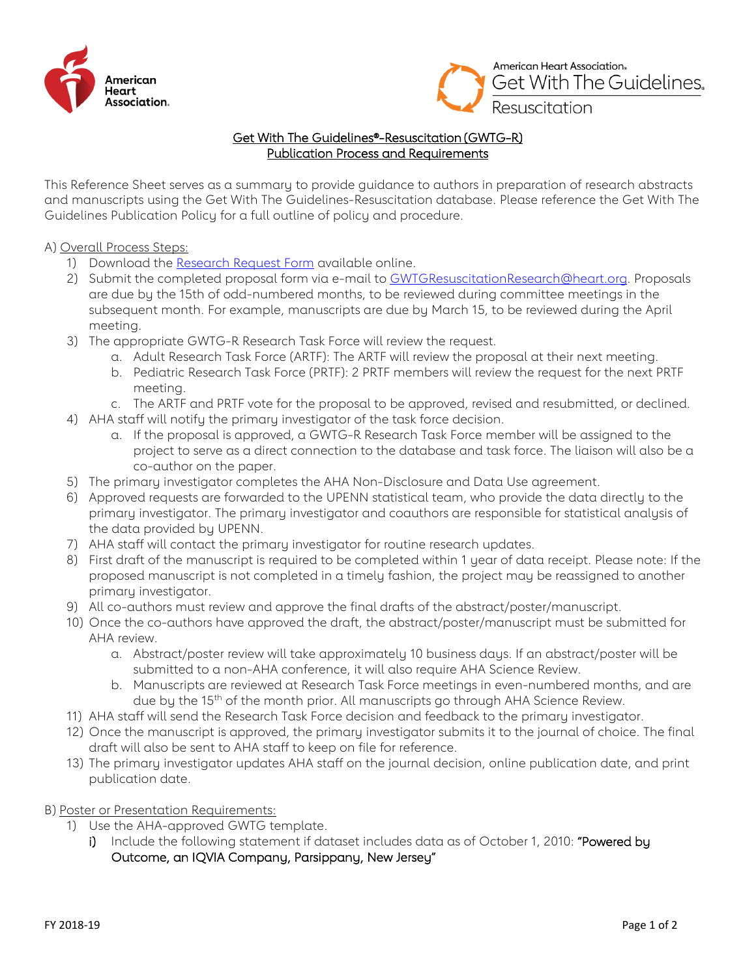



## Get With The Guidelines®-Resuscitation (GWTG-R) Publication Process and Requirements

This Reference Sheet serves as a summary to provide guidance to authors in preparation of research abstracts and manuscripts using the Get With The Guidelines-Resuscitation database. Please reference the Get With The Guidelines Publication Policy for a full outline of policy and procedure.

A) Overall Process Steps:

- 1) Download the Research [Request Form](https://www.heart.org/en/professional/quality-improvement/quality-research-and-publications/national-level-program-data-research-opportunities) available online.
- 2) Submit the completed proposal form via e-mail to [GWTGResuscitationResearch@heart.org.](mailto:GWTGResuscitationResearch@heart.org) Proposals are due by the 15th of odd-numbered months, to be reviewed during committee meetings in the subsequent month. For example, manuscripts are due by March 15, to be reviewed during the April meeting.
- 3) The appropriate GWTG-R Research Task Force will review the request.
	- a. Adult Research Task Force (ARTF): The ARTF will review the proposal at their next meeting.
	- b. Pediatric Research Task Force (PRTF): 2 PRTF members will review the request for the next PRTF meeting.
	- c. The ARTF and PRTF vote for the proposal to be approved, revised and resubmitted, or declined.
- 4) AHA staff will notify the primary investigator of the task force decision.
	- a. If the proposal is approved, a GWTG-R Research Task Force member will be assigned to the project to serve as a direct connection to the database and task force. The liaison will also be a co-author on the paper.
- 5) The primary investigator completes the AHA Non-Disclosure and Data Use agreement.
- 6) Approved requests are forwarded to the UPENN statistical team, who provide the data directly to the primary investigator. The primary investigator and coauthors are responsible for statistical analysis of the data provided by UPENN.
- 7) AHA staff will contact the primary investigator for routine research updates.
- 8) First draft of the manuscript is required to be completed within 1 year of data receipt. Please note: If the proposed manuscript is not completed in a timely fashion, the project may be reassigned to another primary investigator.
- 9) All co-authors must review and approve the final drafts of the abstract/poster/manuscript.
- 10) Once the co-authors have approved the draft, the abstract/poster/manuscript must be submitted for AHA review.
	- a. Abstract/poster review will take approximately 10 business days. If an abstract/poster will be submitted to a non-AHA conference, it will also require AHA Science Review.
	- b. Manuscripts are reviewed at Research Task Force meetings in even-numbered months, and are due by the 15<sup>th</sup> of the month prior. All manuscripts go through AHA Science Review.
- 11) AHA staff will send the Research Task Force decision and feedback to the primary investigator.
- 12) Once the manuscript is approved, the primary investigator submits it to the journal of choice. The final draft will also be sent to AHA staff to keep on file for reference.
- 13) The primary investigator updates AHA staff on the journal decision, online publication date, and print publication date.

B) Poster or Presentation Requirements:

- 1) Use the AHA-approved GWTG template.
	- i) Include the following statement if dataset includes data as of October 1, 2010: "Powered by Outcome, an IQVIA Company, Parsippany, New Jersey"